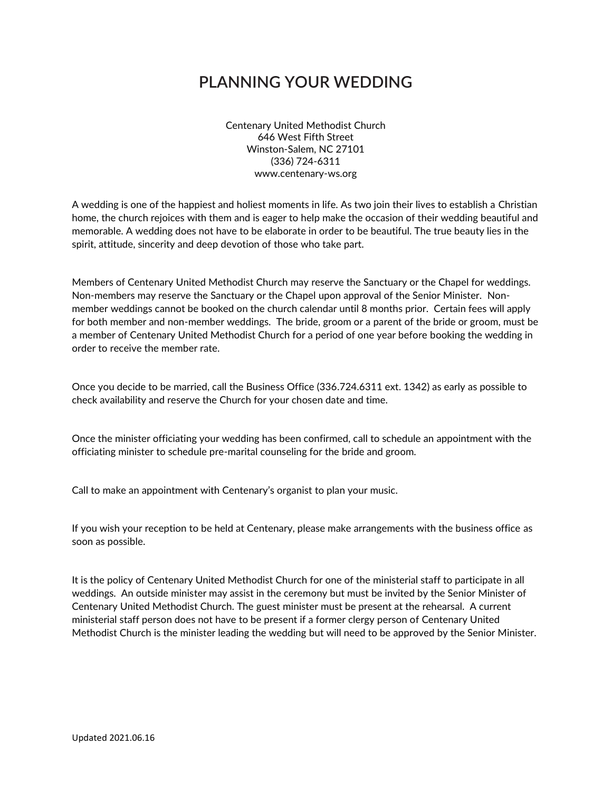# **PLANNING YOUR WEDDING**

Centenary United Methodist Church 646 West Fifth Street Winston-Salem, NC 27101 (336) 724-6311 www.centenary-ws.org

A wedding is one of the happiest and holiest moments in life. As two join their lives to establish a Christian home, the church rejoices with them and is eager to help make the occasion of their wedding beautiful and memorable. A wedding does not have to be elaborate in order to be beautiful. The true beauty lies in the spirit, attitude, sincerity and deep devotion of those who take part.

Members of Centenary United Methodist Church may reserve the Sanctuary or the Chapel for weddings. Non-members may reserve the Sanctuary or the Chapel upon approval of the Senior Minister. Nonmember weddings cannot be booked on the church calendar until 8 months prior. Certain fees will apply for both member and non-member weddings. The bride, groom or a parent of the bride or groom, must be a member of Centenary United Methodist Church for a period of one year before booking the wedding in order to receive the member rate.

Once you decide to be married, call the Business Office (336.724.6311 ext. 1342) as early as possible to check availability and reserve the Church for your chosen date and time.

Once the minister officiating your wedding has been confirmed, call to schedule an appointment with the officiating minister to schedule pre-marital counseling for the bride and groom.

Call to make an appointment with Centenary's organist to plan your music.

If you wish your reception to be held at Centenary, please make arrangements with the business office as soon as possible.

It is the policy of Centenary United Methodist Church for one of the ministerial staff to participate in all weddings. An outside minister may assist in the ceremony but must be invited by the Senior Minister of Centenary United Methodist Church. The guest minister must be present at the rehearsal. A current ministerial staff person does not have to be present if a former clergy person of Centenary United Methodist Church is the minister leading the wedding but will need to be approved by the Senior Minister.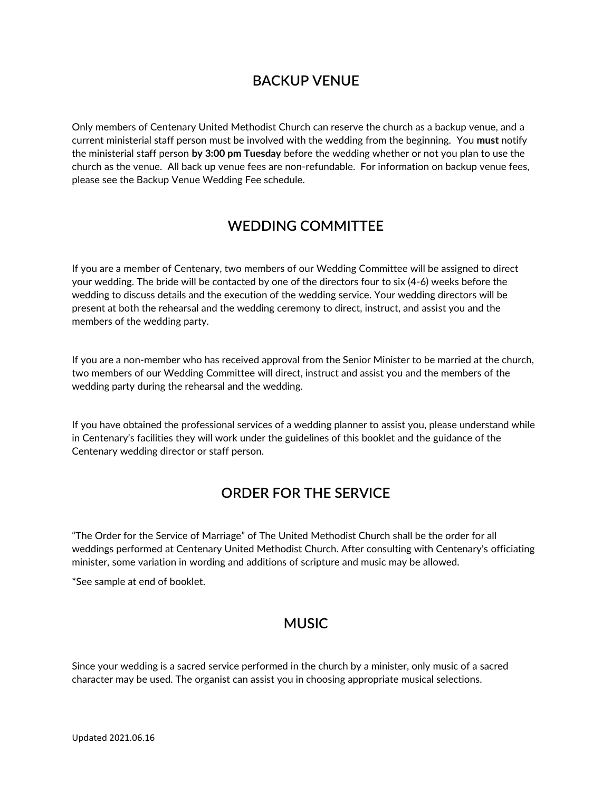## **BACKUP VENUE**

Only members of Centenary United Methodist Church can reserve the church as a backup venue, and a current ministerial staff person must be involved with the wedding from the beginning. You **must** notify the ministerial staff person **by 3:00 pm Tuesday** before the wedding whether or not you plan to use the church as the venue. All back up venue fees are non-refundable. For information on backup venue fees, please see the Backup Venue Wedding Fee schedule.

## **WEDDING COMMITTEE**

If you are a member of Centenary, two members of our Wedding Committee will be assigned to direct your wedding. The bride will be contacted by one of the directors four to six (4-6) weeks before the wedding to discuss details and the execution of the wedding service. Your wedding directors will be present at both the rehearsal and the wedding ceremony to direct, instruct, and assist you and the members of the wedding party.

If you are a non-member who has received approval from the Senior Minister to be married at the church, two members of our Wedding Committee will direct, instruct and assist you and the members of the wedding party during the rehearsal and the wedding.

If you have obtained the professional services of a wedding planner to assist you, please understand while in Centenary's facilities they will work under the guidelines of this booklet and the guidance of the Centenary wedding director or staff person.

## **ORDER FOR THE SERVICE**

"The Order for the Service of Marriage" of The United Methodist Church shall be the order for all weddings performed at Centenary United Methodist Church. After consulting with Centenary's officiating minister, some variation in wording and additions of scripture and music may be allowed.

\*See sample at end of booklet.

### **MUSIC**

Since your wedding is a sacred service performed in the church by a minister, only music of a sacred character may be used. The organist can assist you in choosing appropriate musical selections.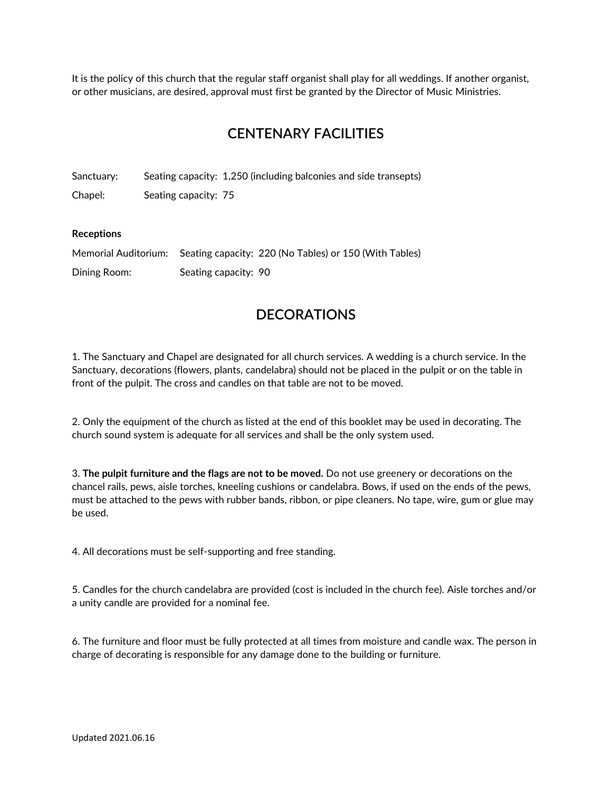It is the policy of this church that the regular staff organist shall play for all weddings. If another organist, or other musicians, are desired, approval must first be granted by the Director of Music Ministries.

## **CENTENARY FACILITIES**

Sanctuary: Seating capacity: 1,250 (including balconies and side transepts) Chapel: Seating capacity: 75

#### **Receptions**

|              | Memorial Auditorium: Seating capacity: 220 (No Tables) or 150 (With Tables) |
|--------------|-----------------------------------------------------------------------------|
| Dining Room: | Seating capacity: 90                                                        |

#### **DECORATIONS**

1. The Sanctuary and Chapel are designated for all church services. A wedding is a church service. In the Sanctuary, decorations (flowers, plants, candelabra) should not be placed in the pulpit or on the table in front of the pulpit. The cross and candles on that table are not to be moved.

2. Only the equipment of the church as listed at the end of this booklet may be used in decorating. The church sound system is adequate for all services and shall be the only system used.

3. **The pulpit furniture and the flags are not to be moved.** Do not use greenery or decorations on the chancel rails, pews, aisle torches, kneeling cushions or candelabra. Bows, if used on the ends of the pews, must be attached to the pews with rubber bands, ribbon, or pipe cleaners. No tape, wire, gum or glue may be used.

4. All decorations must be self-supporting and free standing.

5. Candles for the church candelabra are provided (cost is included in the church fee). Aisle torches and/or a unity candle are provided for a nominal fee.

6. The furniture and floor must be fully protected at all times from moisture and candle wax. The person in charge of decorating is responsible for any damage done to the building or furniture.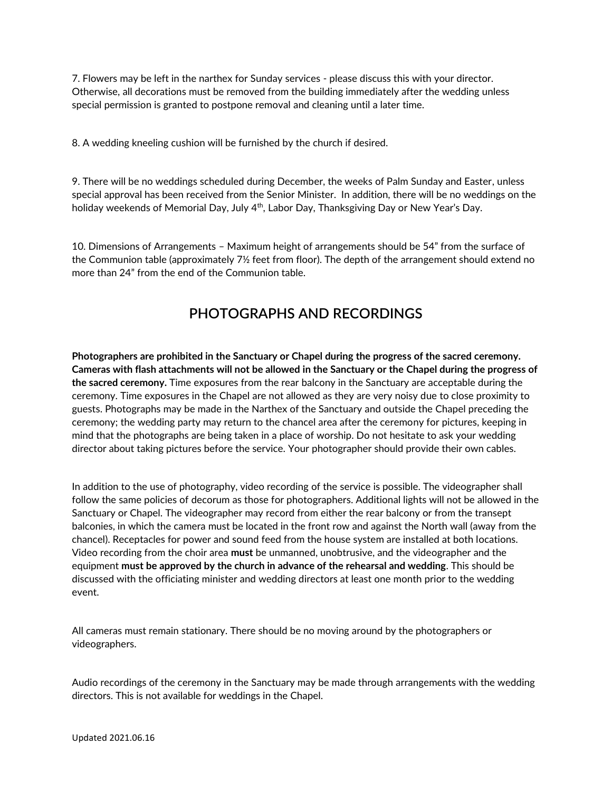7. Flowers may be left in the narthex for Sunday services - please discuss this with your director. Otherwise, all decorations must be removed from the building immediately after the wedding unless special permission is granted to postpone removal and cleaning until a later time.

8. A wedding kneeling cushion will be furnished by the church if desired.

9. There will be no weddings scheduled during December, the weeks of Palm Sunday and Easter, unless special approval has been received from the Senior Minister. In addition, there will be no weddings on the holiday weekends of Memorial Day, July 4<sup>th</sup>, Labor Day, Thanksgiving Day or New Year's Day.

10. Dimensions of Arrangements – Maximum height of arrangements should be 54" from the surface of the Communion table (approximately 7½ feet from floor). The depth of the arrangement should extend no more than 24" from the end of the Communion table.

## **PHOTOGRAPHS AND RECORDINGS**

**Photographers are prohibited in the Sanctuary or Chapel during the progress of the sacred ceremony. Cameras with flash attachments will not be allowed in the Sanctuary or the Chapel during the progress of the sacred ceremony.** Time exposures from the rear balcony in the Sanctuary are acceptable during the ceremony. Time exposures in the Chapel are not allowed as they are very noisy due to close proximity to guests. Photographs may be made in the Narthex of the Sanctuary and outside the Chapel preceding the ceremony; the wedding party may return to the chancel area after the ceremony for pictures, keeping in mind that the photographs are being taken in a place of worship. Do not hesitate to ask your wedding director about taking pictures before the service. Your photographer should provide their own cables.

In addition to the use of photography, video recording of the service is possible. The videographer shall follow the same policies of decorum as those for photographers. Additional lights will not be allowed in the Sanctuary or Chapel. The videographer may record from either the rear balcony or from the transept balconies, in which the camera must be located in the front row and against the North wall (away from the chancel). Receptacles for power and sound feed from the house system are installed at both locations. Video recording from the choir area **must** be unmanned, unobtrusive, and the videographer and the equipment **must be approved by the church in advance of the rehearsal and wedding**. This should be discussed with the officiating minister and wedding directors at least one month prior to the wedding event.

All cameras must remain stationary. There should be no moving around by the photographers or videographers.

Audio recordings of the ceremony in the Sanctuary may be made through arrangements with the wedding directors. This is not available for weddings in the Chapel.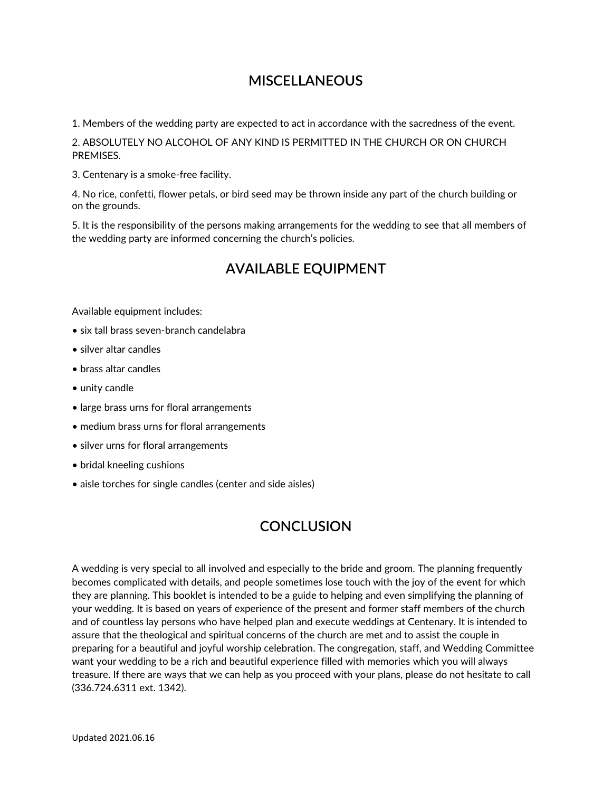## **MISCELLANEOUS**

1. Members of the wedding party are expected to act in accordance with the sacredness of the event.

2. ABSOLUTELY NO ALCOHOL OF ANY KIND IS PERMITTED IN THE CHURCH OR ON CHURCH PREMISES.

3. Centenary is a smoke-free facility.

4. No rice, confetti, flower petals, or bird seed may be thrown inside any part of the church building or on the grounds.

5. It is the responsibility of the persons making arrangements for the wedding to see that all members of the wedding party are informed concerning the church's policies.

## **AVAILABLE EQUIPMENT**

Available equipment includes:

- six tall brass seven-branch candelabra
- silver altar candles
- brass altar candles
- unity candle
- large brass urns for floral arrangements
- medium brass urns for floral arrangements
- silver urns for floral arrangements
- bridal kneeling cushions
- aisle torches for single candles (center and side aisles)

## **CONCLUSION**

A wedding is very special to all involved and especially to the bride and groom. The planning frequently becomes complicated with details, and people sometimes lose touch with the joy of the event for which they are planning. This booklet is intended to be a guide to helping and even simplifying the planning of your wedding. It is based on years of experience of the present and former staff members of the church and of countless lay persons who have helped plan and execute weddings at Centenary. It is intended to assure that the theological and spiritual concerns of the church are met and to assist the couple in preparing for a beautiful and joyful worship celebration. The congregation, staff, and Wedding Committee want your wedding to be a rich and beautiful experience filled with memories which you will always treasure. If there are ways that we can help as you proceed with your plans, please do not hesitate to call (336.724.6311 ext. 1342).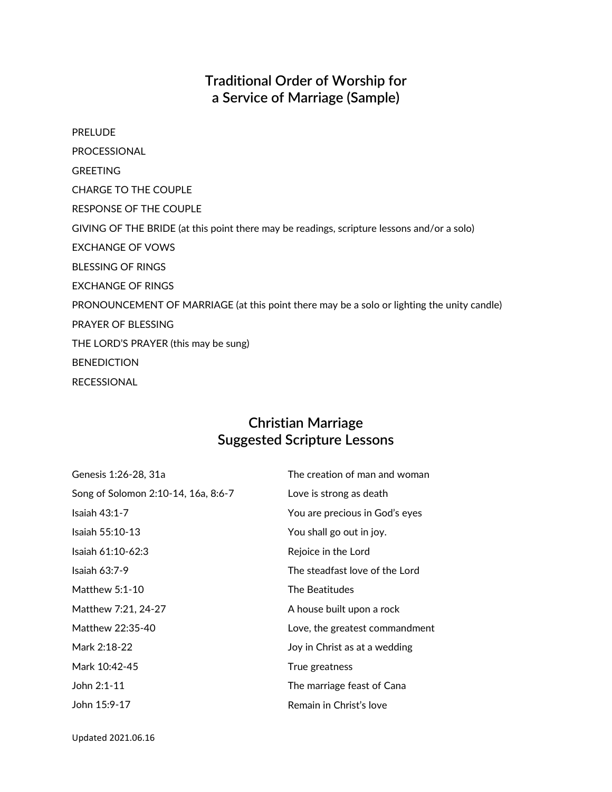## **Traditional Order of Worship for a Service of Marriage (Sample)**

PRELUDE PROCESSIONAL GREETING CHARGE TO THE COUPLE RESPONSE OF THE COUPLE GIVING OF THE BRIDE (at this point there may be readings, scripture lessons and/or a solo) EXCHANGE OF VOWS BLESSING OF RINGS EXCHANGE OF RINGS PRONOUNCEMENT OF MARRIAGE (at this point there may be a solo or lighting the unity candle) PRAYER OF BLESSING THE LORD'S PRAYER (this may be sung) BENEDICTION RECESSIONAL

### **Christian Marriage Suggested Scripture Lessons**

| Genesis 1:26-28, 31a                | The creation of man and woman  |
|-------------------------------------|--------------------------------|
| Song of Solomon 2:10-14, 16a, 8:6-7 | Love is strong as death        |
| Isaiah $43:1-7$                     | You are precious in God's eyes |
| Isaiah 55:10-13                     | You shall go out in joy.       |
| Isaiah 61:10-62:3                   | Rejoice in the Lord            |
| Isaiah $63:7-9$                     | The steadfast love of the Lord |
| Matthew 5:1-10                      | The Beatitudes                 |
| Matthew 7:21, 24-27                 | A house built upon a rock      |
| Matthew 22:35-40                    | Love, the greatest commandment |
| Mark 2:18-22                        | Joy in Christ as at a wedding  |
| Mark 10:42-45                       | True greatness                 |
| John 2:1-11                         | The marriage feast of Cana     |
| John 15:9-17                        | Remain in Christ's love        |
|                                     |                                |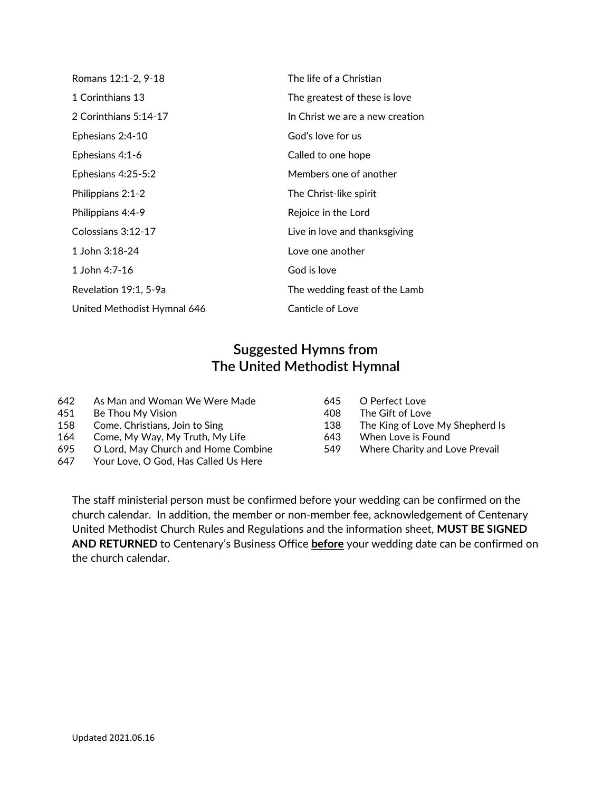| Romans 12:1-2, 9-18         | The life of a Christian         |
|-----------------------------|---------------------------------|
| 1 Corinthians 13            | The greatest of these is love   |
| 2 Corinthians 5:14-17       | In Christ we are a new creation |
| Ephesians 2:4-10            | God's love for us               |
| Ephesians 4:1-6             | Called to one hope              |
| Ephesians 4:25-5:2          | Members one of another          |
| Philippians 2:1-2           | The Christ-like spirit          |
| Philippians 4:4-9           | Rejoice in the Lord             |
| Colossians 3:12-17          | Live in love and thanksgiving   |
| 1 John 3:18-24              | Love one another                |
| 1 John 4:7-16               | God is love                     |
| Revelation 19:1, 5-9a       | The wedding feast of the Lamb   |
| United Methodist Hymnal 646 | Canticle of Love                |

### **Suggested Hymns from The United Methodist Hymnal**

- 642 As Man and Woman We Were Made
- 451 Be Thou My Vision
- 158 Come, Christians, Join to Sing
- 164 Come, My Way, My Truth, My Life
- 695 O Lord, May Church and Home Combine
- 647 Your Love, O God, Has Called Us Here

 O Perfect Love The Gift of Love The King of Love My Shepherd Is When Love is Found Where Charity and Love Prevail

The staff ministerial person must be confirmed before your wedding can be confirmed on the church calendar. In addition, the member or non-member fee, acknowledgement of Centenary United Methodist Church Rules and Regulations and the information sheet, **MUST BE SIGNED AND RETURNED** to Centenary's Business Office **before** your wedding date can be confirmed on the church calendar.